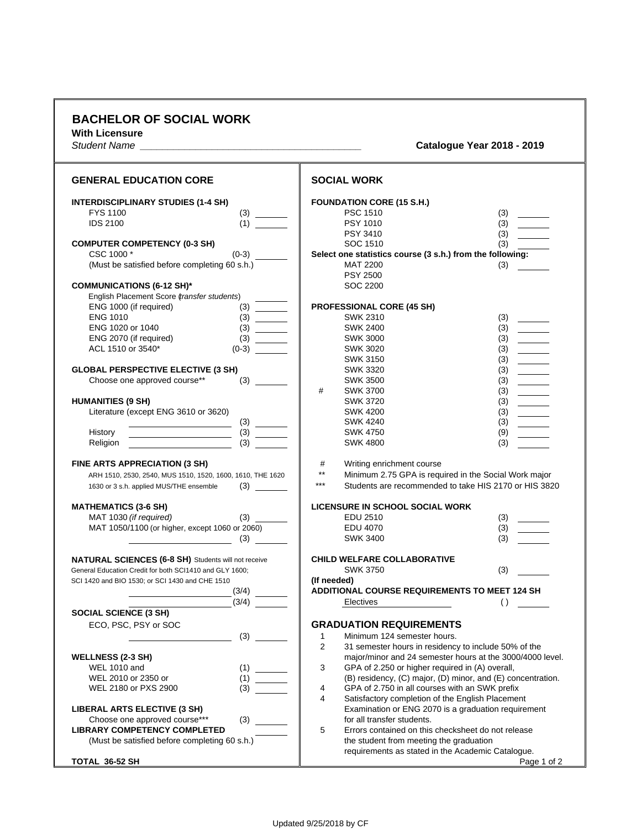## **BACHELOR OF SOCIAL WORK**

With Licensure<br>Student Name

## *Student Name \_\_\_\_\_\_\_\_\_\_\_\_\_\_\_\_\_\_\_\_\_\_\_\_\_\_\_\_\_\_\_\_\_\_\_\_\_\_\_\_* **Catalogue Year 2018 - 2019**

| <b>GENERAL EDUCATION CORE</b>                              | <b>SOCIAL WORK</b>                                                                                                                                                                                                                                                                                                                                                                                                                                           |
|------------------------------------------------------------|--------------------------------------------------------------------------------------------------------------------------------------------------------------------------------------------------------------------------------------------------------------------------------------------------------------------------------------------------------------------------------------------------------------------------------------------------------------|
| <b>INTERDISCIPLINARY STUDIES (1-4 SH)</b>                  | <b>FOUNDATION CORE (15 S.H.)</b>                                                                                                                                                                                                                                                                                                                                                                                                                             |
| <b>FYS 1100</b><br>(3)                                     | <b>PSC 1510</b><br>(3)                                                                                                                                                                                                                                                                                                                                                                                                                                       |
| <b>IDS 2100</b><br>(1)                                     | PSY 1010<br>(3)                                                                                                                                                                                                                                                                                                                                                                                                                                              |
|                                                            | PSY 3410<br>(3)                                                                                                                                                                                                                                                                                                                                                                                                                                              |
| <b>COMPUTER COMPETENCY (0-3 SH)</b>                        | SOC 1510<br>(3)                                                                                                                                                                                                                                                                                                                                                                                                                                              |
| CSC 1000 *<br>$(0-3)$                                      | Select one statistics course (3 s.h.) from the following:                                                                                                                                                                                                                                                                                                                                                                                                    |
| (Must be satisfied before completing 60 s.h.)              | <b>MAT 2200</b><br>(3)                                                                                                                                                                                                                                                                                                                                                                                                                                       |
|                                                            | <b>PSY 2500</b>                                                                                                                                                                                                                                                                                                                                                                                                                                              |
| <b>COMMUNICATIONS (6-12 SH)*</b>                           | SOC 2200                                                                                                                                                                                                                                                                                                                                                                                                                                                     |
| English Placement Score (transfer students)                |                                                                                                                                                                                                                                                                                                                                                                                                                                                              |
| ENG 1000 (if required)<br>(3)                              | <b>PROFESSIONAL CORE (45 SH)</b>                                                                                                                                                                                                                                                                                                                                                                                                                             |
| <b>ENG 1010</b><br>(3)                                     | <b>SWK 2310</b><br>(3)                                                                                                                                                                                                                                                                                                                                                                                                                                       |
| ENG 1020 or 1040                                           | $\frac{1}{\sqrt{1-\frac{1}{2}}\left( \frac{1}{2},\frac{1}{2}\right) }=\frac{1}{2\sqrt{1-\frac{1}{2}}\left( \frac{1}{2},\frac{1}{2}\right) }=\frac{1}{2\sqrt{1-\frac{1}{2}}\left( \frac{1}{2},\frac{1}{2}\right) }=\frac{1}{2\sqrt{1-\frac{1}{2}}\left( \frac{1}{2},\frac{1}{2}\right) }=\frac{1}{2\sqrt{1-\frac{1}{2}}\left( \frac{1}{2},\frac{1}{2}\right) }=\frac{1}{2\sqrt{1-\frac{1}{2}}\left( \frac{1}{2},\frac{1}{2}\right)$<br>(3)<br><b>SWK 2400</b> |
| ENG 2070 (if required)<br>(3)                              | (3)<br><b>SWK 3000</b><br>$\frac{1}{1}$                                                                                                                                                                                                                                                                                                                                                                                                                      |
| ACL 1510 or 3540*<br>$(0-3)$                               | <b>SWK 3020</b><br>(3)                                                                                                                                                                                                                                                                                                                                                                                                                                       |
|                                                            | $\frac{1}{\frac{1}{1-\frac{1}{1-\frac{1}{1-\frac{1}{1-\frac{1}{1-\frac{1}{1-\frac{1}{1-\frac{1}{1-\frac{1}{1-\frac{1}{1-\frac{1}{1-\frac{1}{1-\frac{1}{1-\frac{1}{1-\frac{1}{1-\frac{1}{1-\frac{1}{1-\frac{1}{1-\frac{1}{1-\frac{1}{1-\frac{1}{1-\frac{1}{1-\frac{1}{1-\frac{1}{1-\frac{1}{1-\frac{1}{1-\frac{1}{1-\frac{1}{1-\frac{1}{1-\frac{1}{1-\frac{1}{1-\frac{1}{1-\frac{1}{1-\frac{1}{1-\frac{1}{1-\frac{1}{$<br><b>SWK 3150</b><br>(3)              |
| <b>GLOBAL PERSPECTIVE ELECTIVE (3 SH)</b>                  | SWK 3320<br>(3)<br>$\overline{\phantom{a}}$                                                                                                                                                                                                                                                                                                                                                                                                                  |
| Choose one approved course**<br>(3)                        | <b>SWK 3500</b><br>(3)                                                                                                                                                                                                                                                                                                                                                                                                                                       |
|                                                            | $\frac{1}{\sqrt{1-\frac{1}{2}}\left( \frac{1}{2},\frac{1}{2}\right) }$<br>#<br><b>SWK 3700</b><br>(3)                                                                                                                                                                                                                                                                                                                                                        |
| <b>HUMANITIES (9 SH)</b>                                   | <b>SWK 3720</b><br>(3)<br>$\frac{1}{2}$                                                                                                                                                                                                                                                                                                                                                                                                                      |
| Literature (except ENG 3610 or 3620)                       | <b>SWK 4200</b><br>(3)                                                                                                                                                                                                                                                                                                                                                                                                                                       |
| (3)                                                        | $\begin{tabular}{ c c c c } \hline \quad \quad & \quad \quad & \quad \quad \\ \hline \quad \quad & \quad \quad & \quad \quad \\ \hline \quad \quad & \quad \quad & \quad \quad \\ \hline \quad \quad & \quad \quad & \quad \quad \\ \hline \end{tabular}$<br><b>SWK 4240</b><br>(3)                                                                                                                                                                          |
| History                                                    | <b>SWK 4750</b><br>(9)                                                                                                                                                                                                                                                                                                                                                                                                                                       |
| (3)<br>Religion                                            | <b>SWK 4800</b><br>(3)                                                                                                                                                                                                                                                                                                                                                                                                                                       |
|                                                            |                                                                                                                                                                                                                                                                                                                                                                                                                                                              |
| <b>FINE ARTS APPRECIATION (3 SH)</b>                       | #<br>Writing enrichment course                                                                                                                                                                                                                                                                                                                                                                                                                               |
| ARH 1510, 2530, 2540, MUS 1510, 1520, 1600, 1610, THE 1620 | $***$<br>Minimum 2.75 GPA is required in the Social Work major                                                                                                                                                                                                                                                                                                                                                                                               |
| 1630 or 3 s.h. applied MUS/THE ensemble<br>(3)             | $***$<br>Students are recommended to take HIS 2170 or HIS 3820                                                                                                                                                                                                                                                                                                                                                                                               |
| <b>MATHEMATICS (3-6 SH)</b>                                | LICENSURE IN SCHOOL SOCIAL WORK                                                                                                                                                                                                                                                                                                                                                                                                                              |
| MAT 1030 (if required)<br>(3)                              | EDU 2510<br>(3)                                                                                                                                                                                                                                                                                                                                                                                                                                              |
| MAT 1050/1100 (or higher, except 1060 or 2060)             | EDU 4070<br>(3)                                                                                                                                                                                                                                                                                                                                                                                                                                              |
| (3)                                                        | <b>SWK 3400</b><br>(3)                                                                                                                                                                                                                                                                                                                                                                                                                                       |
|                                                            |                                                                                                                                                                                                                                                                                                                                                                                                                                                              |
| NATURAL SCIENCES (6-8 SH) Students will not receive        | <b>CHILD WELFARE COLLABORATIVE</b>                                                                                                                                                                                                                                                                                                                                                                                                                           |
| General Education Credit for both SCI1410 and GLY 1600;    | <b>SWK 3750</b><br>(3)                                                                                                                                                                                                                                                                                                                                                                                                                                       |
| SCI 1420 and BIO 1530; or SCI 1430 and CHE 1510            | (If needed)                                                                                                                                                                                                                                                                                                                                                                                                                                                  |
| (3/4)                                                      | <b>ADDITIONAL COURSE REQUIREMENTS TO MEET 124 SH</b>                                                                                                                                                                                                                                                                                                                                                                                                         |
| (3/4)                                                      | Electives<br>$\left( \right)$                                                                                                                                                                                                                                                                                                                                                                                                                                |
| <b>SOCIAL SCIENCE (3 SH)</b>                               |                                                                                                                                                                                                                                                                                                                                                                                                                                                              |
| ECO, PSC, PSY or SOC                                       | <b>GRADUATION REQUIREMENTS</b>                                                                                                                                                                                                                                                                                                                                                                                                                               |
| (3)                                                        | Minimum 124 semester hours.<br>1                                                                                                                                                                                                                                                                                                                                                                                                                             |
|                                                            | 2<br>31 semester hours in residency to include 50% of the                                                                                                                                                                                                                                                                                                                                                                                                    |
| <b>WELLNESS (2-3 SH)</b>                                   | major/minor and 24 semester hours at the 3000/4000 level.                                                                                                                                                                                                                                                                                                                                                                                                    |
| <b>WEL 1010 and</b><br>(1)                                 | 3<br>GPA of 2.250 or higher required in (A) overall,                                                                                                                                                                                                                                                                                                                                                                                                         |
| WEL 2010 or 2350 or<br>(1)                                 | (B) residency, (C) major, (D) minor, and (E) concentration.                                                                                                                                                                                                                                                                                                                                                                                                  |
| WEL 2180 or PXS 2900<br>(3)                                | GPA of 2.750 in all courses with an SWK prefix<br>4                                                                                                                                                                                                                                                                                                                                                                                                          |
|                                                            | 4<br>Satisfactory completion of the English Placement                                                                                                                                                                                                                                                                                                                                                                                                        |
| <b>LIBERAL ARTS ELECTIVE (3 SH)</b>                        | Examination or ENG 2070 is a graduation requirement                                                                                                                                                                                                                                                                                                                                                                                                          |
| Choose one approved course***<br>(3)                       | for all transfer students.                                                                                                                                                                                                                                                                                                                                                                                                                                   |
| <b>LIBRARY COMPETENCY COMPLETED</b>                        | 5<br>Errors contained on this checksheet do not release                                                                                                                                                                                                                                                                                                                                                                                                      |
| (Must be satisfied before completing 60 s.h.)              | the student from meeting the graduation                                                                                                                                                                                                                                                                                                                                                                                                                      |
|                                                            | requirements as stated in the Academic Catalogue.                                                                                                                                                                                                                                                                                                                                                                                                            |
| TOTAL 36-52 SH                                             | Page 1 of 2                                                                                                                                                                                                                                                                                                                                                                                                                                                  |
|                                                            |                                                                                                                                                                                                                                                                                                                                                                                                                                                              |